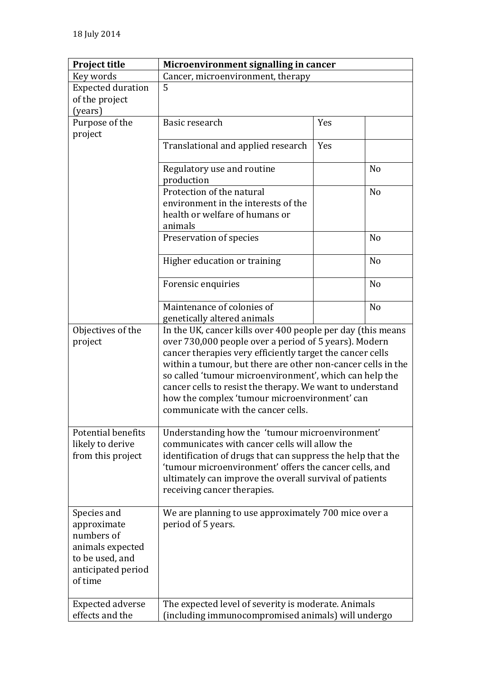| <b>Project title</b>     | Microenvironment signalling in cancer                        |     |                |
|--------------------------|--------------------------------------------------------------|-----|----------------|
| Key words                | Cancer, microenvironment, therapy                            |     |                |
| <b>Expected duration</b> | 5                                                            |     |                |
| of the project           |                                                              |     |                |
| (years)                  |                                                              |     |                |
| Purpose of the           | Basic research                                               | Yes |                |
| project                  |                                                              |     |                |
|                          | Translational and applied research                           | Yes |                |
|                          | Regulatory use and routine                                   |     | N <sub>o</sub> |
|                          | production                                                   |     |                |
|                          | Protection of the natural                                    |     | N <sub>0</sub> |
|                          | environment in the interests of the                          |     |                |
|                          | health or welfare of humans or                               |     |                |
|                          | animals                                                      |     |                |
|                          | Preservation of species                                      |     | N <sub>o</sub> |
|                          | Higher education or training                                 |     | N <sub>o</sub> |
|                          | Forensic enquiries                                           |     | N <sub>o</sub> |
|                          | Maintenance of colonies of                                   |     | N <sub>o</sub> |
|                          | genetically altered animals                                  |     |                |
| Objectives of the        | In the UK, cancer kills over 400 people per day (this means  |     |                |
| project                  | over 730,000 people over a period of 5 years). Modern        |     |                |
|                          | cancer therapies very efficiently target the cancer cells    |     |                |
|                          | within a tumour, but there are other non-cancer cells in the |     |                |
|                          | so called 'tumour microenvironment', which can help the      |     |                |
|                          | cancer cells to resist the therapy. We want to understand    |     |                |
|                          | how the complex 'tumour microenvironment' can                |     |                |
|                          | communicate with the cancer cells.                           |     |                |
| Potential benefits       | Understanding how the 'tumour microenvironment'              |     |                |
| likely to derive         | communicates with cancer cells will allow the                |     |                |
| from this project        | identification of drugs that can suppress the help that the  |     |                |
|                          | 'tumour microenvironment' offers the cancer cells, and       |     |                |
|                          | ultimately can improve the overall survival of patients      |     |                |
|                          | receiving cancer therapies.                                  |     |                |
|                          |                                                              |     |                |
| Species and              | We are planning to use approximately 700 mice over a         |     |                |
| approximate              | period of 5 years.                                           |     |                |
| numbers of               |                                                              |     |                |
| animals expected         |                                                              |     |                |
| to be used, and          |                                                              |     |                |
| anticipated period       |                                                              |     |                |
| of time                  |                                                              |     |                |
|                          |                                                              |     |                |
| <b>Expected adverse</b>  | The expected level of severity is moderate. Animals          |     |                |
| effects and the          | (including immunocompromised animals) will undergo           |     |                |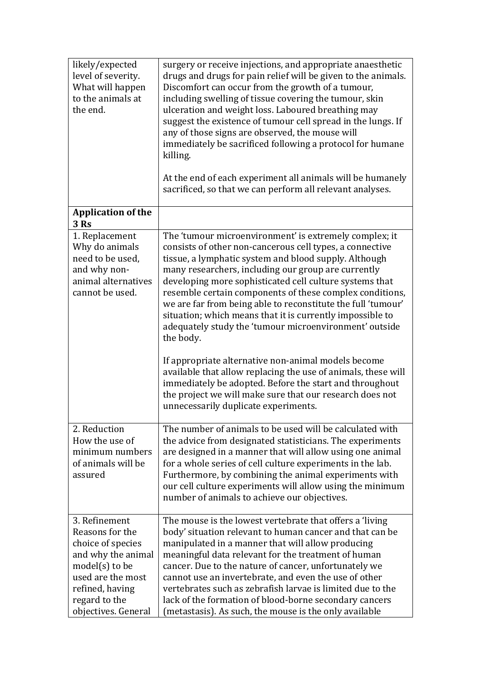| likely/expected<br>level of severity.<br>What will happen<br>to the animals at<br>the end.                     | surgery or receive injections, and appropriate anaesthetic<br>drugs and drugs for pain relief will be given to the animals.<br>Discomfort can occur from the growth of a tumour,<br>including swelling of tissue covering the tumour, skin<br>ulceration and weight loss. Laboured breathing may<br>suggest the existence of tumour cell spread in the lungs. If<br>any of those signs are observed, the mouse will<br>immediately be sacrificed following a protocol for humane<br>killing.<br>At the end of each experiment all animals will be humanely<br>sacrificed, so that we can perform all relevant analyses.                                                                                                                                                                                                                              |
|----------------------------------------------------------------------------------------------------------------|------------------------------------------------------------------------------------------------------------------------------------------------------------------------------------------------------------------------------------------------------------------------------------------------------------------------------------------------------------------------------------------------------------------------------------------------------------------------------------------------------------------------------------------------------------------------------------------------------------------------------------------------------------------------------------------------------------------------------------------------------------------------------------------------------------------------------------------------------|
| <b>Application of the</b><br><b>3 Rs</b>                                                                       |                                                                                                                                                                                                                                                                                                                                                                                                                                                                                                                                                                                                                                                                                                                                                                                                                                                      |
| 1. Replacement<br>Why do animals<br>need to be used,<br>and why non-<br>animal alternatives<br>cannot be used. | The 'tumour microenvironment' is extremely complex; it<br>consists of other non-cancerous cell types, a connective<br>tissue, a lymphatic system and blood supply. Although<br>many researchers, including our group are currently<br>developing more sophisticated cell culture systems that<br>resemble certain components of these complex conditions,<br>we are far from being able to reconstitute the full 'tumour'<br>situation; which means that it is currently impossible to<br>adequately study the 'tumour microenvironment' outside<br>the body.<br>If appropriate alternative non-animal models become<br>available that allow replacing the use of animals, these will<br>immediately be adopted. Before the start and throughout<br>the project we will make sure that our research does not<br>unnecessarily duplicate experiments. |
| 2. Reduction                                                                                                   | The number of animals to be used will be calculated with                                                                                                                                                                                                                                                                                                                                                                                                                                                                                                                                                                                                                                                                                                                                                                                             |
| How the use of<br>minimum numbers<br>of animals will be<br>assured                                             | the advice from designated statisticians. The experiments<br>are designed in a manner that will allow using one animal<br>for a whole series of cell culture experiments in the lab.<br>Furthermore, by combining the animal experiments with<br>our cell culture experiments will allow using the minimum<br>number of animals to achieve our objectives.                                                                                                                                                                                                                                                                                                                                                                                                                                                                                           |
| 3. Refinement<br>Reasons for the                                                                               | The mouse is the lowest vertebrate that offers a 'living<br>body' situation relevant to human cancer and that can be                                                                                                                                                                                                                                                                                                                                                                                                                                                                                                                                                                                                                                                                                                                                 |
| choice of species<br>and why the animal                                                                        | manipulated in a manner that will allow producing<br>meaningful data relevant for the treatment of human                                                                                                                                                                                                                                                                                                                                                                                                                                                                                                                                                                                                                                                                                                                                             |
| $model(s)$ to be                                                                                               | cancer. Due to the nature of cancer, unfortunately we                                                                                                                                                                                                                                                                                                                                                                                                                                                                                                                                                                                                                                                                                                                                                                                                |
| used are the most<br>refined, having                                                                           | cannot use an invertebrate, and even the use of other<br>vertebrates such as zebrafish larvae is limited due to the                                                                                                                                                                                                                                                                                                                                                                                                                                                                                                                                                                                                                                                                                                                                  |
| regard to the<br>objectives. General                                                                           | lack of the formation of blood-borne secondary cancers<br>(metastasis). As such, the mouse is the only available                                                                                                                                                                                                                                                                                                                                                                                                                                                                                                                                                                                                                                                                                                                                     |